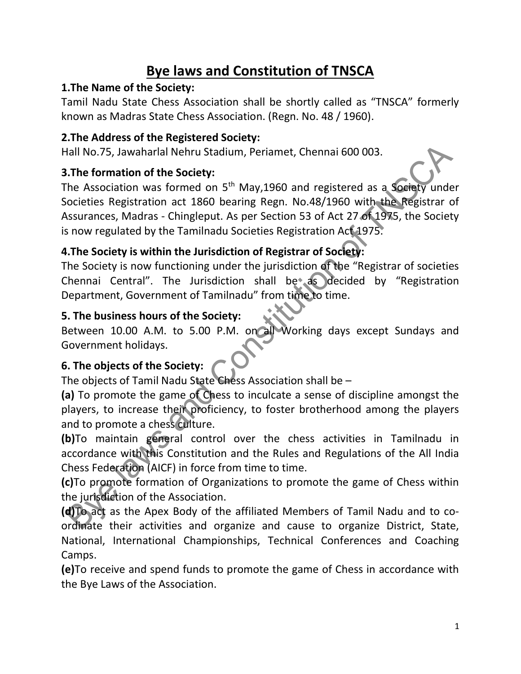# Bye laws and Constitution of TNSCA

## 1.The Name of the Society:

Tamil Nadu State Chess Association shall be shortly called as "TNSCA" formerly known as Madras State Chess Association. (Regn. No. 48 / 1960).

#### 2.The Address of the Registered Society:

Hall No.75, Jawaharlal Nehru Stadium, Periamet, Chennai 600 003.

#### 3.The formation of the Society:

The Association was formed on 5<sup>th</sup> May, 1960 and registered as a Society under Societies Registration act 1860 bearing Regn. No.48/1960 with the Registrar of Assurances, Madras - Chingleput. As per Section 53 of Act 27 of 1975, the Society is now regulated by the Tamilnadu Societies Registration Act 1975.

## 4.The Society is within the Jurisdiction of Registrar of Society:

The Society is now functioning under the jurisdiction of the "Registrar of societies Chennai Central". The Jurisdiction shall be as decided by "Registration Department, Government of Tamilnadu" from time to time.

#### 5. The business hours of the Society:

Between 10.00 A.M. to 5.00 P.M. on all Working days except Sundays and Government holidays.

#### 6. The objects of the Society:

The objects of Tamil Nadu State Chess Association shall be –

(a) To promote the game of Chess to inculcate a sense of discipline amongst the players, to increase their proficiency, to foster brotherhood among the players and to promote a chess culture.

(b)To maintain general control over the chess activities in Tamilnadu in accordance with this Constitution and the Rules and Regulations of the All India Chess Federation (AICF) in force from time to time.

(c)To promote formation of Organizations to promote the game of Chess within the jurisdiction of the Association.

(d)To act as the Apex Body of the affiliated Members of Tamil Nadu and to coordinate their activities and organize and cause to organize District, State, National, International Championships, Technical Conferences and Coaching Camps.

(e)To receive and spend funds to promote the game of Chess in accordance with the Bye Laws of the Association.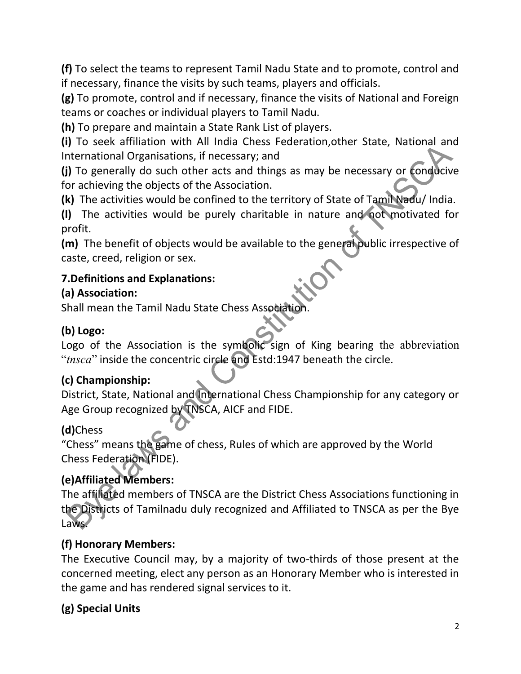(f) To select the teams to represent Tamil Nadu State and to promote, control and if necessary, finance the visits by such teams, players and officials.

(g) To promote, control and if necessary, finance the visits of National and Foreign teams or coaches or individual players to Tamil Nadu.

(h) To prepare and maintain a State Rank List of players.

(i) To seek affiliation with All India Chess Federation,other State, National and International Organisations, if necessary; and

(j) To generally do such other acts and things as may be necessary or conducive for achieving the objects of the Association.

(k) The activities would be confined to the territory of State of Tamil Nadu/ India.

(l) The activities would be purely charitable in nature and not motivated for profit.

(m) The benefit of objects would be available to the general public irrespective of caste, creed, religion or sex.

## 7.Definitions and Explanations:

### (a) Association:

Shall mean the Tamil Nadu State Chess Association

## (b) Logo:

Logo of the Association is the symbolic sign of King bearing the abbreviation "tnsca" inside the concentric circle and Estd:1947 beneath the circle.

## (c) Championship:

District, State, National and International Chess Championship for any category or Age Group recognized by TNSCA, AICF and FIDE.

## (d)Chess

"Chess" means the game of chess, Rules of which are approved by the World Chess Federation (FIDE).

## (e)Affiliated Members:

The affiliated members of TNSCA are the District Chess Associations functioning in the Districts of Tamilnadu duly recognized and Affiliated to TNSCA as per the Bye Laws.

## (f) Honorary Members:

The Executive Council may, by a majority of two-thirds of those present at the concerned meeting, elect any person as an Honorary Member who is interested in the game and has rendered signal services to it.

## (g) Special Units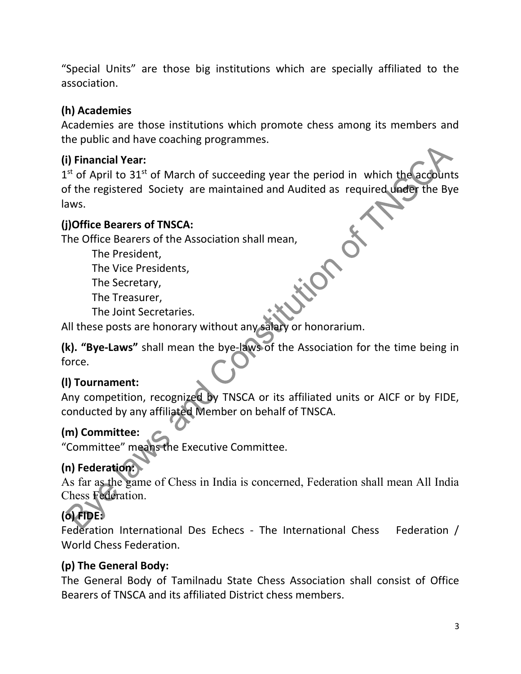"Special Units" are those big institutions which are specially affiliated to the association.

## (h) Academies

Academies are those institutions which promote chess among its members and the public and have coaching programmes.

## (i) Financial Year:

1<sup>st</sup> of April to 31<sup>st</sup> of March of succeeding year the period in which the accounts of the registered Society are maintained and Audited as required under the Bye laws.

#### (j)Office Bearers of TNSCA:

The Office Bearers of the Association shall mean,

The President,

The Vice Presidents,

The Secretary,

The Treasurer,

The Joint Secretaries.

All these posts are honorary without any salary or honorarium.

(k). "Bye-Laws" shall mean the bye-laws of the Association for the time being in force.

## (l) Tournament:

Any competition, recognized by TNSCA or its affiliated units or AICF or by FIDE, conducted by any affiliated Member on behalf of TNSCA.

## (m) Committee:

"Committee" means the Executive Committee.

## (n) Federation:

As far as the game of Chess in India is concerned, Federation shall mean All India Chess Federation.

# (o) FIDE:

Federation International Des Echecs - The International Chess Federation / World Chess Federation.

## (p) The General Body:

The General Body of Tamilnadu State Chess Association shall consist of Office Bearers of TNSCA and its affiliated District chess members.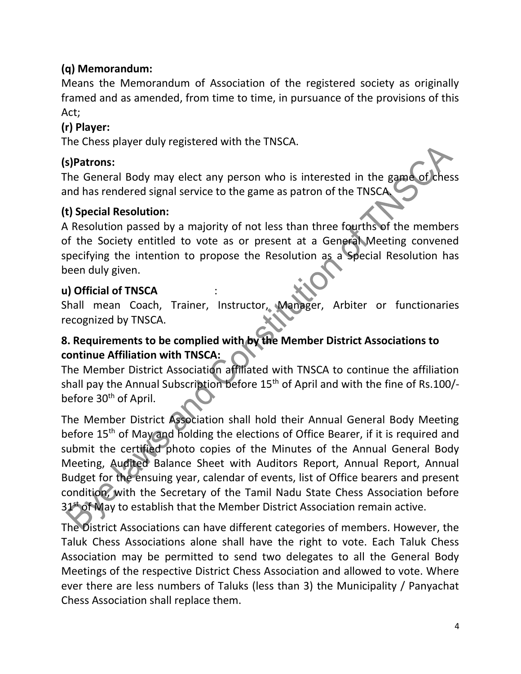## (q) Memorandum:

Means the Memorandum of Association of the registered society as originally framed and as amended, from time to time, in pursuance of the provisions of this Act;

#### (r) Player:

The Chess player duly registered with the TNSCA.

#### (s)Patrons:

The General Body may elect any person who is interested in the game of chess and has rendered signal service to the game as patron of the TNSCA.

#### (t) Special Resolution:

A Resolution passed by a majority of not less than three fourths of the members of the Society entitled to vote as or present at a General Meeting convened specifying the intention to propose the Resolution as a Special Resolution has been duly given.

#### u) Official of TNSCA :

Shall mean Coach, Trainer, Instructor, Manager, Arbiter or functionaries recognized by TNSCA.

## 8. Requirements to be complied with by the Member District Associations to continue Affiliation with TNSCA:

The Member District Association affiliated with TNSCA to continue the affiliation shall pay the Annual Subscription before 15<sup>th</sup> of April and with the fine of Rs.100/before 30<sup>th</sup> of April.

The Member District Association shall hold their Annual General Body Meeting before 15<sup>th</sup> of May and holding the elections of Office Bearer, if it is required and submit the certified photo copies of the Minutes of the Annual General Body Meeting, Audited Balance Sheet with Auditors Report, Annual Report, Annual Budget for the ensuing year, calendar of events, list of Office bearers and present condition, with the Secretary of the Tamil Nadu State Chess Association before 31<sup>st</sup> of May to establish that the Member District Association remain active.

The District Associations can have different categories of members. However, the Taluk Chess Associations alone shall have the right to vote. Each Taluk Chess Association may be permitted to send two delegates to all the General Body Meetings of the respective District Chess Association and allowed to vote. Where ever there are less numbers of Taluks (less than 3) the Municipality / Panyachat Chess Association shall replace them.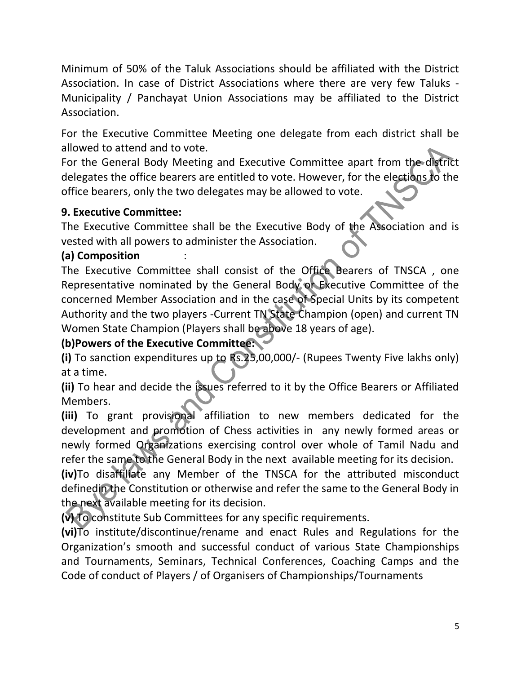Minimum of 50% of the Taluk Associations should be affiliated with the District Association. In case of District Associations where there are very few Taluks - Municipality / Panchayat Union Associations may be affiliated to the District Association.

For the Executive Committee Meeting one delegate from each district shall be allowed to attend and to vote.

For the General Body Meeting and Executive Committee apart from the district delegates the office bearers are entitled to vote. However, for the elections to the office bearers, only the two delegates may be allowed to vote.

#### 9. Executive Committee:

The Executive Committee shall be the Executive Body of the Association and is vested with all powers to administer the Association.

#### (a) Composition

The Executive Committee shall consist of the Office Bearers of TNSCA , one Representative nominated by the General Body or Executive Committee of the concerned Member Association and in the case of Special Units by its competent Authority and the two players -Current TN State Champion (open) and current TN Women State Champion (Players shall be above 18 years of age).

## (b)Powers of the Executive Committee:

(i) To sanction expenditures up to Rs.25,00,000/- (Rupees Twenty Five lakhs only) at a time.

(ii) To hear and decide the issues referred to it by the Office Bearers or Affiliated Members.

(iii) To grant provisional affiliation to new members dedicated for the development and promotion of Chess activities in any newly formed areas or newly formed Organizations exercising control over whole of Tamil Nadu and refer the same to the General Body in the next available meeting for its decision.

(iv)To disaffiliate any Member of the TNSCA for the attributed misconduct definedin the Constitution or otherwise and refer the same to the General Body in the next available meeting for its decision.

(v) To constitute Sub Committees for any specific requirements.

(vi)To institute/discontinue/rename and enact Rules and Regulations for the Organization's smooth and successful conduct of various State Championships and Tournaments, Seminars, Technical Conferences, Coaching Camps and the Code of conduct of Players / of Organisers of Championships/Tournaments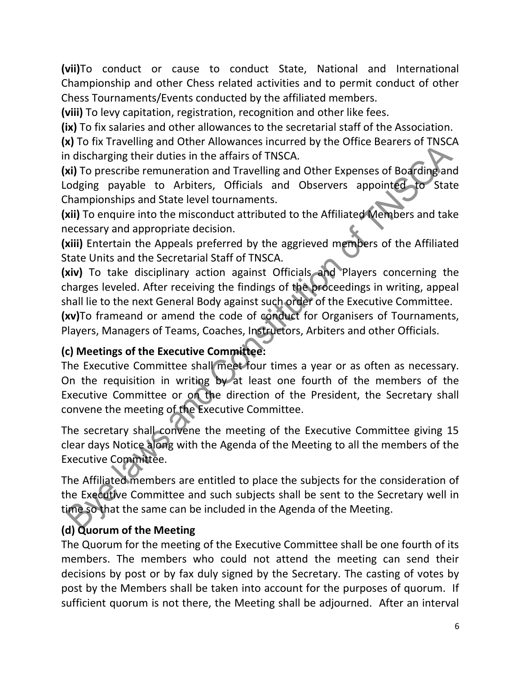(vii)To conduct or cause to conduct State, National and International Championship and other Chess related activities and to permit conduct of other Chess Tournaments/Events conducted by the affiliated members.

(viii) To levy capitation, registration, recognition and other like fees.

(ix) To fix salaries and other allowances to the secretarial staff of the Association.

(x) To fix Travelling and Other Allowances incurred by the Office Bearers of TNSCA in discharging their duties in the affairs of TNSCA.

(xi) To prescribe remuneration and Travelling and Other Expenses of Boarding and Lodging payable to Arbiters, Officials and Observers appointed to State Championships and State level tournaments.

(xii) To enquire into the misconduct attributed to the Affiliated Members and take necessary and appropriate decision.

(xiii) Entertain the Appeals preferred by the aggrieved members of the Affiliated State Units and the Secretarial Staff of TNSCA.

(xiv) To take disciplinary action against Officials and Players concerning the charges leveled. After receiving the findings of the proceedings in writing, appeal shall lie to the next General Body against such order of the Executive Committee.

(xv)To frameand or amend the code of conduct for Organisers of Tournaments, Players, Managers of Teams, Coaches, Instructors, Arbiters and other Officials.

#### (c) Meetings of the Executive Committee:

The Executive Committee shall meet four times a year or as often as necessary. On the requisition in writing by at least one fourth of the members of the Executive Committee or on the direction of the President, the Secretary shall convene the meeting of the Executive Committee.

The secretary shall convene the meeting of the Executive Committee giving 15 clear days Notice along with the Agenda of the Meeting to all the members of the Executive Committee.

The Affiliated members are entitled to place the subjects for the consideration of the Executive Committee and such subjects shall be sent to the Secretary well in time so that the same can be included in the Agenda of the Meeting.

## (d) Quorum of the Meeting

The Quorum for the meeting of the Executive Committee shall be one fourth of its members. The members who could not attend the meeting can send their decisions by post or by fax duly signed by the Secretary. The casting of votes by post by the Members shall be taken into account for the purposes of quorum. If sufficient quorum is not there, the Meeting shall be adjourned. After an interval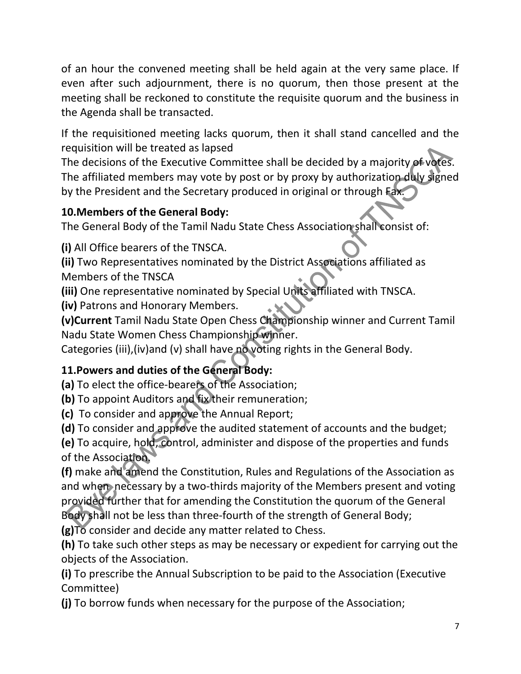of an hour the convened meeting shall be held again at the very same place. If even after such adjournment, there is no quorum, then those present at the meeting shall be reckoned to constitute the requisite quorum and the business in the Agenda shall be transacted.

If the requisitioned meeting lacks quorum, then it shall stand cancelled and the requisition will be treated as lapsed

The decisions of the Executive Committee shall be decided by a majority of votes. The affiliated members may vote by post or by proxy by authorization duly signed by the President and the Secretary produced in original or through Fax.

### 10.Members of the General Body:

The General Body of the Tamil Nadu State Chess Association shall consist of:

(i) All Office bearers of the TNSCA.

(ii) Two Representatives nominated by the District Associations affiliated as Members of the TNSCA

(iii) One representative nominated by Special Units affiliated with TNSCA.

(iv) Patrons and Honorary Members.

(v)Current Tamil Nadu State Open Chess Championship winner and Current Tamil Nadu State Women Chess Championship winner.

Categories (iii),(iv)and (v) shall have no voting rights in the General Body.

## 11.Powers and duties of the General Body:

(a) To elect the office-bearers of the Association;

(b) To appoint Auditors and fix their remuneration;

(c) To consider and approve the Annual Report;

(d) To consider and approve the audited statement of accounts and the budget;

(e) To acquire, hold, control, administer and dispose of the properties and funds of the Association.

(f) make and amend the Constitution, Rules and Regulations of the Association as and when necessary by a two-thirds majority of the Members present and voting provided further that for amending the Constitution the quorum of the General Body shall not be less than three-fourth of the strength of General Body;

(g)To consider and decide any matter related to Chess.

(h) To take such other steps as may be necessary or expedient for carrying out the objects of the Association.

(i) To prescribe the Annual Subscription to be paid to the Association (Executive Committee)

(j) To borrow funds when necessary for the purpose of the Association;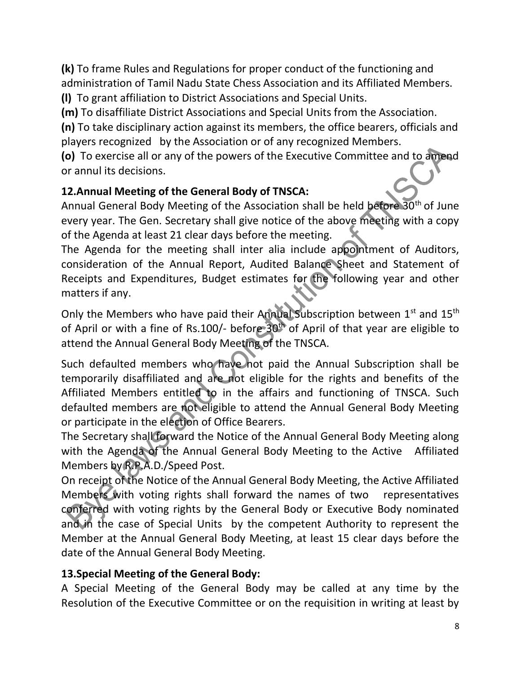(k) To frame Rules and Regulations for proper conduct of the functioning and administration of Tamil Nadu State Chess Association and its Affiliated Members. (l) To grant affiliation to District Associations and Special Units.

(m) To disaffiliate District Associations and Special Units from the Association.

(n) To take disciplinary action against its members, the office bearers, officials and players recognized by the Association or of any recognized Members.

(o) To exercise all or any of the powers of the Executive Committee and to amend or annul its decisions.

### 12.Annual Meeting of the General Body of TNSCA:

Annual General Body Meeting of the Association shall be held before 30<sup>th</sup> of June every year. The Gen. Secretary shall give notice of the above meeting with a copy of the Agenda at least 21 clear days before the meeting.

The Agenda for the meeting shall inter alia include appointment of Auditors, consideration of the Annual Report, Audited Balance Sheet and Statement of Receipts and Expenditures, Budget estimates for the following year and other matters if any.

Only the Members who have paid their Annual Subscription between 1<sup>st</sup> and 15<sup>th</sup> of April or with a fine of Rs.100/- before  $30<sup>th</sup>$  of April of that year are eligible to attend the Annual General Body Meeting of the TNSCA.

Such defaulted members who have not paid the Annual Subscription shall be temporarily disaffiliated and are not eligible for the rights and benefits of the Affiliated Members entitled to in the affairs and functioning of TNSCA. Such defaulted members are not eligible to attend the Annual General Body Meeting or participate in the election of Office Bearers.

The Secretary shall forward the Notice of the Annual General Body Meeting along with the Agenda of the Annual General Body Meeting to the Active Affiliated Members by R.P.A.D./Speed Post.

On receipt of the Notice of the Annual General Body Meeting, the Active Affiliated Members with voting rights shall forward the names of two representatives conferred with voting rights by the General Body or Executive Body nominated and in the case of Special Units by the competent Authority to represent the Member at the Annual General Body Meeting, at least 15 clear days before the date of the Annual General Body Meeting.

#### 13.Special Meeting of the General Body:

A Special Meeting of the General Body may be called at any time by the Resolution of the Executive Committee or on the requisition in writing at least by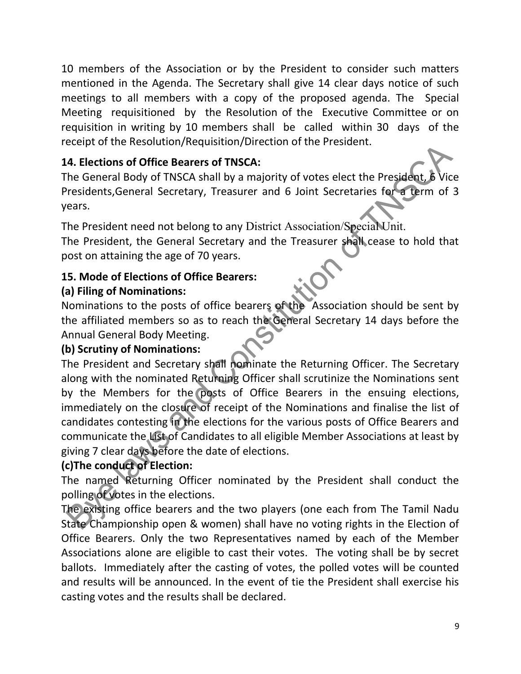10 members of the Association or by the President to consider such matters mentioned in the Agenda. The Secretary shall give 14 clear days notice of such meetings to all members with a copy of the proposed agenda. The Special Meeting requisitioned by the Resolution of the Executive Committee or on requisition in writing by 10 members shall be called within 30 days of the receipt of the Resolution/Requisition/Direction of the President.

## 14. Elections of Office Bearers of TNSCA:

The General Body of TNSCA shall by a majority of votes elect the President, 6 Vice Presidents,General Secretary, Treasurer and 6 Joint Secretaries for a term of 3 years.

The President need not belong to any District Association/Special Unit.

The President, the General Secretary and the Treasurer shall cease to hold that post on attaining the age of 70 years.

## 15. Mode of Elections of Office Bearers:

## (a) Filing of Nominations:

Nominations to the posts of office bearers of the Association should be sent by the affiliated members so as to reach the General Secretary 14 days before the Annual General Body Meeting.

#### (b) Scrutiny of Nominations:

The President and Secretary shall nominate the Returning Officer. The Secretary along with the nominated Returning Officer shall scrutinize the Nominations sent by the Members for the posts of Office Bearers in the ensuing elections, immediately on the closure of receipt of the Nominations and finalise the list of candidates contesting in the elections for the various posts of Office Bearers and communicate the List of Candidates to all eligible Member Associations at least by giving 7 clear days before the date of elections.

#### (c)The conduct of Election:

The named Returning Officer nominated by the President shall conduct the polling of votes in the elections.

The existing office bearers and the two players (one each from The Tamil Nadu State Championship open & women) shall have no voting rights in the Election of Office Bearers. Only the two Representatives named by each of the Member Associations alone are eligible to cast their votes. The voting shall be by secret ballots. Immediately after the casting of votes, the polled votes will be counted and results will be announced. In the event of tie the President shall exercise his casting votes and the results shall be declared.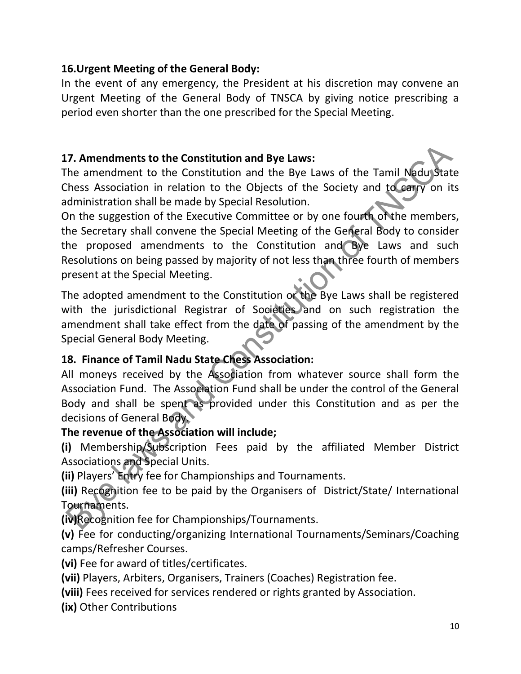#### 16.Urgent Meeting of the General Body:

In the event of any emergency, the President at his discretion may convene an Urgent Meeting of the General Body of TNSCA by giving notice prescribing a period even shorter than the one prescribed for the Special Meeting.

#### 17. Amendments to the Constitution and Bye Laws:

The amendment to the Constitution and the Bye Laws of the Tamil Nadu State Chess Association in relation to the Objects of the Society and to carry on its administration shall be made by Special Resolution.

On the suggestion of the Executive Committee or by one fourth of the members, the Secretary shall convene the Special Meeting of the General Body to consider the proposed amendments to the Constitution and Bye Laws and such Resolutions on being passed by majority of not less than three fourth of members present at the Special Meeting.

The adopted amendment to the Constitution or the Bye Laws shall be registered with the jurisdictional Registrar of Societies and on such registration the amendment shall take effect from the date of passing of the amendment by the Special General Body Meeting.

#### 18. Finance of Tamil Nadu State Chess Association:

All moneys received by the Association from whatever source shall form the Association Fund. The Association Fund shall be under the control of the General Body and shall be spent as provided under this Constitution and as per the decisions of General Body.

#### The revenue of the Association will include;

(i) Membership/Subscription Fees paid by the affiliated Member District Associations and Special Units.

(ii) Players' Entry fee for Championships and Tournaments.

(iii) Recognition fee to be paid by the Organisers of District/State/ International Tournaments.

(iv)Recognition fee for Championships/Tournaments.

(v) Fee for conducting/organizing International Tournaments/Seminars/Coaching camps/Refresher Courses.

(vi) Fee for award of titles/certificates.

(vii) Players, Arbiters, Organisers, Trainers (Coaches) Registration fee.

(viii) Fees received for services rendered or rights granted by Association.

(ix) Other Contributions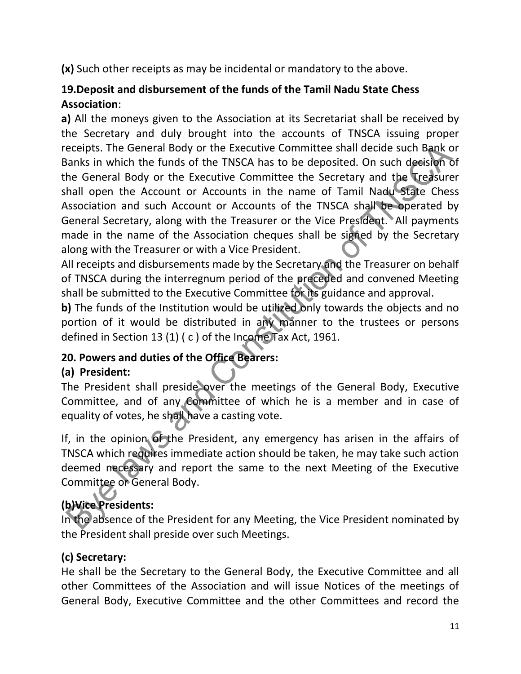(x) Such other receipts as may be incidental or mandatory to the above.

## 19.Deposit and disbursement of the funds of the Tamil Nadu State Chess Association:

a) All the moneys given to the Association at its Secretariat shall be received by the Secretary and duly brought into the accounts of TNSCA issuing proper receipts. The General Body or the Executive Committee shall decide such Bank or Banks in which the funds of the TNSCA has to be deposited. On such decision of the General Body or the Executive Committee the Secretary and the Treasurer shall open the Account or Accounts in the name of Tamil Nadu State Chess Association and such Account or Accounts of the TNSCA shall be operated by General Secretary, along with the Treasurer or the Vice President. All payments made in the name of the Association cheques shall be signed by the Secretary along with the Treasurer or with a Vice President.

All receipts and disbursements made by the Secretary and the Treasurer on behalf of TNSCA during the interregnum period of the preceded and convened Meeting shall be submitted to the Executive Committee for its guidance and approval.

b) The funds of the Institution would be utilized only towards the objects and no portion of it would be distributed in any manner to the trustees or persons defined in Section 13 (1) ( c ) of the Income Tax Act, 1961.

## 20. Powers and duties of the Office Bearers:

## (a) President:

The President shall preside over the meetings of the General Body, Executive Committee, and of any Committee of which he is a member and in case of equality of votes, he shall have a casting vote.

If, in the opinion of the President, any emergency has arisen in the affairs of TNSCA which requires immediate action should be taken, he may take such action deemed necessary and report the same to the next Meeting of the Executive Committee or General Body.

## (b)Vice Presidents:

In the absence of the President for any Meeting, the Vice President nominated by the President shall preside over such Meetings.

## (c) Secretary:

He shall be the Secretary to the General Body, the Executive Committee and all other Committees of the Association and will issue Notices of the meetings of General Body, Executive Committee and the other Committees and record the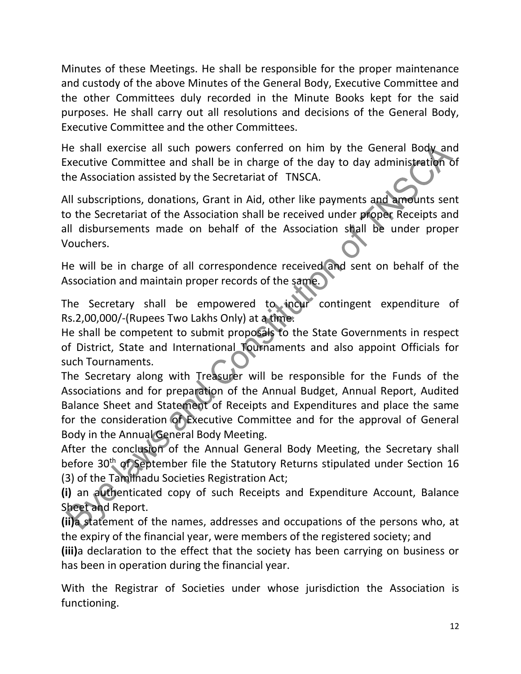Minutes of these Meetings. He shall be responsible for the proper maintenance and custody of the above Minutes of the General Body, Executive Committee and the other Committees duly recorded in the Minute Books kept for the said purposes. He shall carry out all resolutions and decisions of the General Body, Executive Committee and the other Committees.

He shall exercise all such powers conferred on him by the General Body and Executive Committee and shall be in charge of the day to day administration of the Association assisted by the Secretariat of TNSCA.

All subscriptions, donations, Grant in Aid, other like payments and amounts sent to the Secretariat of the Association shall be received under proper Receipts and all disbursements made on behalf of the Association shall be under proper Vouchers.

He will be in charge of all correspondence received and sent on behalf of the Association and maintain proper records of the same.

The Secretary shall be empowered to incur contingent expenditure of Rs.2,00,000/-(Rupees Two Lakhs Only) at a time.

He shall be competent to submit proposals to the State Governments in respect of District, State and International Tournaments and also appoint Officials for such Tournaments.

The Secretary along with Treasurer will be responsible for the Funds of the Associations and for preparation of the Annual Budget, Annual Report, Audited Balance Sheet and Statement of Receipts and Expenditures and place the same for the consideration of Executive Committee and for the approval of General Body in the Annual General Body Meeting.

After the conclusion of the Annual General Body Meeting, the Secretary shall before 30<sup>th</sup> of September file the Statutory Returns stipulated under Section 16 (3) of the Tamilnadu Societies Registration Act;

(i) an authenticated copy of such Receipts and Expenditure Account, Balance Sheet and Report.

(ii)a statement of the names, addresses and occupations of the persons who, at the expiry of the financial year, were members of the registered society; and

(iii)a declaration to the effect that the society has been carrying on business or has been in operation during the financial year.

With the Registrar of Societies under whose jurisdiction the Association is functioning.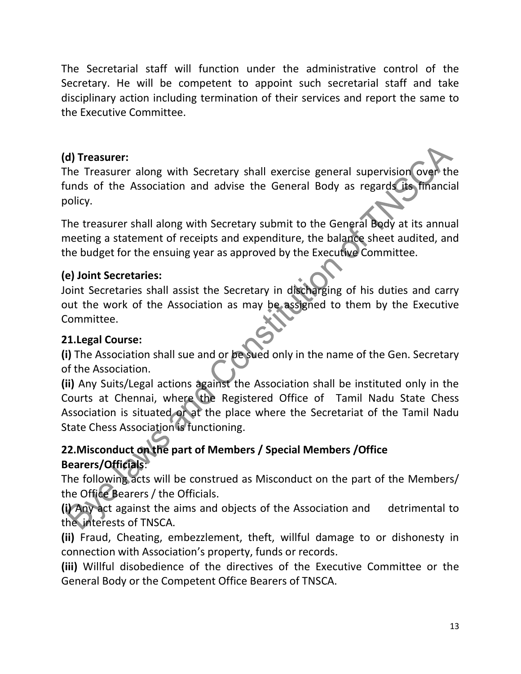The Secretarial staff will function under the administrative control of the Secretary. He will be competent to appoint such secretarial staff and take disciplinary action including termination of their services and report the same to the Executive Committee.

### (d) Treasurer:

The Treasurer along with Secretary shall exercise general supervision over the funds of the Association and advise the General Body as regards its financial policy.

The treasurer shall along with Secretary submit to the General Body at its annual meeting a statement of receipts and expenditure, the balance sheet audited, and the budget for the ensuing year as approved by the Executive Committee.

### (e) Joint Secretaries:

Joint Secretaries shall assist the Secretary in discharging of his duties and carry out the work of the Association as may be assigned to them by the Executive Committee.

#### 21.Legal Course:

(i) The Association shall sue and or be sued only in the name of the Gen. Secretary of the Association.

(ii) Any Suits/Legal actions against the Association shall be instituted only in the Courts at Chennai, where the Registered Office of Tamil Nadu State Chess Association is situated or at the place where the Secretariat of the Tamil Nadu State Chess Association is functioning.

## 22.Misconduct on the part of Members / Special Members /Office Bearers/Officials:

The following acts will be construed as Misconduct on the part of the Members/ the Office Bearers / the Officials.

(i) Any act against the aims and objects of the Association and detrimental to the interests of TNSCA.

(ii) Fraud, Cheating, embezzlement, theft, willful damage to or dishonesty in connection with Association's property, funds or records.

(iii) Willful disobedience of the directives of the Executive Committee or the General Body or the Competent Office Bearers of TNSCA.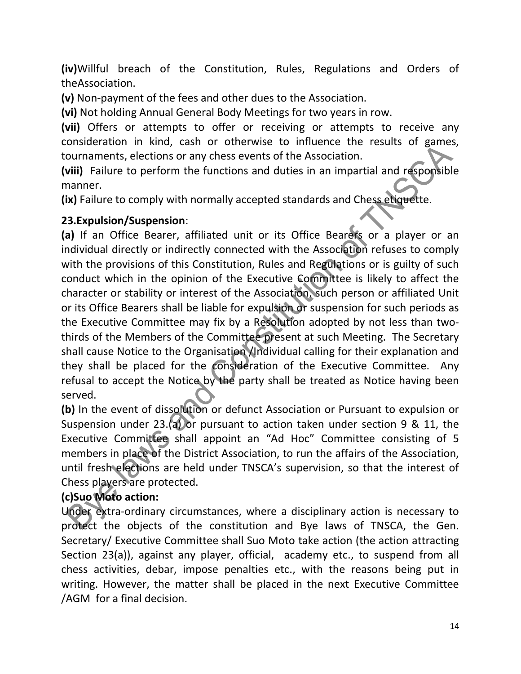(iv)Willful breach of the Constitution, Rules, Regulations and Orders of theAssociation.

(v) Non-payment of the fees and other dues to the Association.

(vi) Not holding Annual General Body Meetings for two years in row.

(vii) Offers or attempts to offer or receiving or attempts to receive any consideration in kind, cash or otherwise to influence the results of games, tournaments, elections or any chess events of the Association.

(viii) Failure to perform the functions and duties in an impartial and responsible manner.

(ix) Failure to comply with normally accepted standards and Chess etiquette.

### 23.Expulsion/Suspension:

(a) If an Office Bearer, affiliated unit or its Office Bearers or a player or an individual directly or indirectly connected with the Association refuses to comply with the provisions of this Constitution, Rules and Regulations or is guilty of such conduct which in the opinion of the Executive Committee is likely to affect the character or stability or interest of the Association, such person or affiliated Unit or its Office Bearers shall be liable for expulsion or suspension for such periods as the Executive Committee may fix by a Resolution adopted by not less than twothirds of the Members of the Committee present at such Meeting. The Secretary shall cause Notice to the Organisation /Individual calling for their explanation and they shall be placed for the consideration of the Executive Committee. Any refusal to accept the Notice by the party shall be treated as Notice having been served.

(b) In the event of dissolution or defunct Association or Pursuant to expulsion or Suspension under 23.(a) or pursuant to action taken under section 9 & 11, the Executive Committee shall appoint an "Ad Hoc" Committee consisting of 5 members in place of the District Association, to run the affairs of the Association, until fresh elections are held under TNSCA's supervision, so that the interest of Chess players are protected.

## (c)Suo Moto action:

Under extra-ordinary circumstances, where a disciplinary action is necessary to protect the objects of the constitution and Bye laws of TNSCA, the Gen. Secretary/ Executive Committee shall Suo Moto take action (the action attracting Section 23(a)), against any player, official, academy etc., to suspend from all chess activities, debar, impose penalties etc., with the reasons being put in writing. However, the matter shall be placed in the next Executive Committee /AGM for a final decision.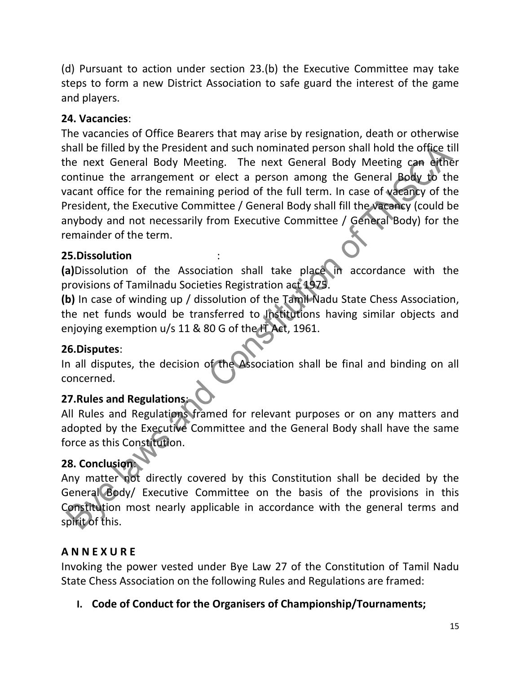(d) Pursuant to action under section 23.(b) the Executive Committee may take steps to form a new District Association to safe guard the interest of the game and players.

#### 24. Vacancies:

The vacancies of Office Bearers that may arise by resignation, death or otherwise shall be filled by the President and such nominated person shall hold the office till the next General Body Meeting. The next General Body Meeting can either continue the arrangement or elect a person among the General Body to the vacant office for the remaining period of the full term. In case of vacancy of the President, the Executive Committee / General Body shall fill the vacancy (could be anybody and not necessarily from Executive Committee / General Body) for the remainder of the term.

#### 25.Dissolution :

(a)Dissolution of the Association shall take place in accordance with the provisions of Tamilnadu Societies Registration act 1975.

(b) In case of winding up / dissolution of the Tamil Nadu State Chess Association, the net funds would be transferred to Institutions having similar objects and enjoying exemption u/s 11 & 80 G of the IT Act, 1961.

#### 26.Disputes:

In all disputes, the decision of the Association shall be final and binding on all concerned.

## 27.Rules and Regulations:

All Rules and Regulations framed for relevant purposes or on any matters and adopted by the Executive Committee and the General Body shall have the same force as this Constitution.

## 28. Conclusion:

Any matter not directly covered by this Constitution shall be decided by the General Body/ Executive Committee on the basis of the provisions in this Constitution most nearly applicable in accordance with the general terms and spirit of this.

#### A N N E X U R E

Invoking the power vested under Bye Law 27 of the Constitution of Tamil Nadu State Chess Association on the following Rules and Regulations are framed:

I. Code of Conduct for the Organisers of Championship/Tournaments;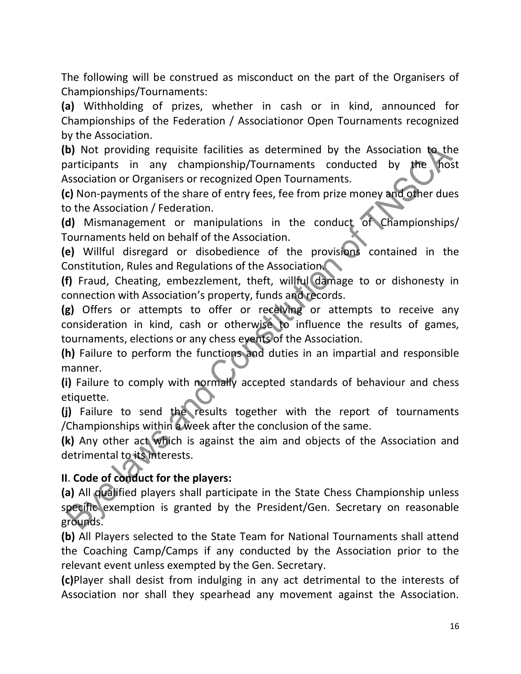The following will be construed as misconduct on the part of the Organisers of Championships/Tournaments:

(a) Withholding of prizes, whether in cash or in kind, announced for Championships of the Federation / Associationor Open Tournaments recognized by the Association.

(b) Not providing requisite facilities as determined by the Association to the participants in any championship/Tournaments conducted by the host Association or Organisers or recognized Open Tournaments.

(c) Non-payments of the share of entry fees, fee from prize money and other dues to the Association / Federation.

(d) Mismanagement or manipulations in the conduct of Championships/ Tournaments held on behalf of the Association.

(e) Willful disregard or disobedience of the provisions contained in the Constitution, Rules and Regulations of the Association.

(f) Fraud, Cheating, embezzlement, theft, willful damage to or dishonesty in connection with Association's property, funds and records.

(g) Offers or attempts to offer or receiving or attempts to receive any consideration in kind, cash or otherwise to influence the results of games, tournaments, elections or any chess events of the Association.

(h) Failure to perform the functions and duties in an impartial and responsible manner.

(i) Failure to comply with normally accepted standards of behaviour and chess etiquette.

(j) Failure to send the results together with the report of tournaments /Championships within a week after the conclusion of the same.

(k) Any other act which is against the aim and objects of the Association and detrimental to its interests.

#### II. Code of conduct for the players:

(a) All qualified players shall participate in the State Chess Championship unless specific exemption is granted by the President/Gen. Secretary on reasonable grounds.

(b) All Players selected to the State Team for National Tournaments shall attend the Coaching Camp/Camps if any conducted by the Association prior to the relevant event unless exempted by the Gen. Secretary.

(c)Player shall desist from indulging in any act detrimental to the interests of Association nor shall they spearhead any movement against the Association.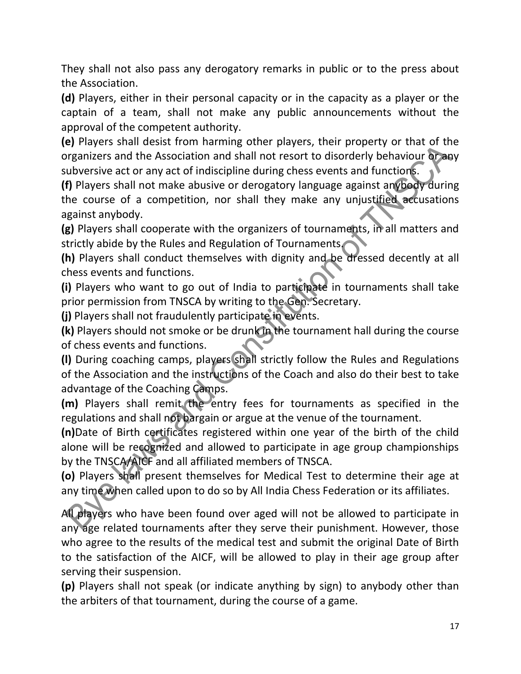They shall not also pass any derogatory remarks in public or to the press about the Association.

(d) Players, either in their personal capacity or in the capacity as a player or the captain of a team, shall not make any public announcements without the approval of the competent authority.

(e) Players shall desist from harming other players, their property or that of the organizers and the Association and shall not resort to disorderly behaviour or any subversive act or any act of indiscipline during chess events and functions.

(f) Players shall not make abusive or derogatory language against anybody during the course of a competition, nor shall they make any unjustified accusations against anybody.

(g) Players shall cooperate with the organizers of tournaments, in all matters and strictly abide by the Rules and Regulation of Tournaments.

(h) Players shall conduct themselves with dignity and be dressed decently at all chess events and functions.

(i) Players who want to go out of India to participate in tournaments shall take prior permission from TNSCA by writing to the Gen. Secretary.

(j) Players shall not fraudulently participate in events.

(k) Players should not smoke or be drunk in the tournament hall during the course of chess events and functions.

(l) During coaching camps, players shall strictly follow the Rules and Regulations of the Association and the instructions of the Coach and also do their best to take advantage of the Coaching Camps.

(m) Players shall remit the entry fees for tournaments as specified in the regulations and shall not bargain or argue at the venue of the tournament.

(n)Date of Birth certificates registered within one year of the birth of the child alone will be recognized and allowed to participate in age group championships by the TNSCA/AICF and all affiliated members of TNSCA.

(o) Players shall present themselves for Medical Test to determine their age at any time when called upon to do so by All India Chess Federation or its affiliates.

All players who have been found over aged will not be allowed to participate in any age related tournaments after they serve their punishment. However, those who agree to the results of the medical test and submit the original Date of Birth to the satisfaction of the AICF, will be allowed to play in their age group after serving their suspension.

(p) Players shall not speak (or indicate anything by sign) to anybody other than the arbiters of that tournament, during the course of a game.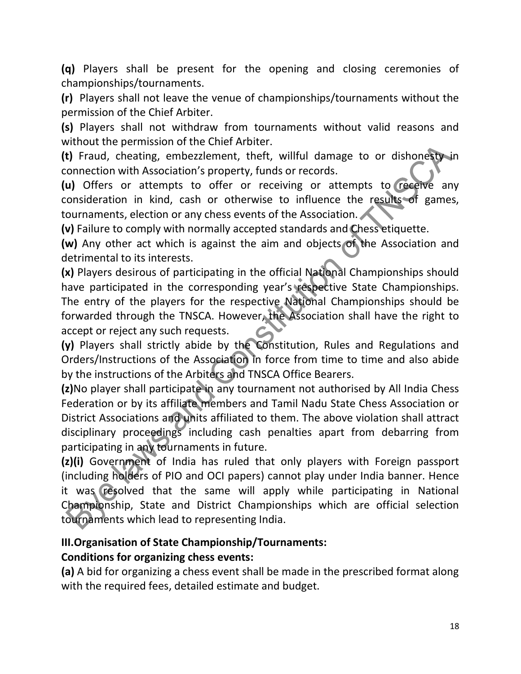(q) Players shall be present for the opening and closing ceremonies of championships/tournaments.

(r) Players shall not leave the venue of championships/tournaments without the permission of the Chief Arbiter.

(s) Players shall not withdraw from tournaments without valid reasons and without the permission of the Chief Arbiter.

(t) Fraud, cheating, embezzlement, theft, willful damage to or dishonesty in connection with Association's property, funds or records.

(u) Offers or attempts to offer or receiving or attempts to receive any consideration in kind, cash or otherwise to influence the results of games, tournaments, election or any chess events of the Association.

(v) Failure to comply with normally accepted standards and Chess etiquette.

(w) Any other act which is against the aim and objects of the Association and detrimental to its interests.

(x) Players desirous of participating in the official National Championships should have participated in the corresponding year's respective State Championships. The entry of the players for the respective National Championships should be forwarded through the TNSCA. However, the Association shall have the right to accept or reject any such requests.

(y) Players shall strictly abide by the Constitution, Rules and Regulations and Orders/Instructions of the Association in force from time to time and also abide by the instructions of the Arbiters and TNSCA Office Bearers.

(z)No player shall participate in any tournament not authorised by All India Chess Federation or by its affiliate members and Tamil Nadu State Chess Association or District Associations and units affiliated to them. The above violation shall attract disciplinary proceedings including cash penalties apart from debarring from participating in any tournaments in future.

(z)(i) Government of India has ruled that only players with Foreign passport (including holders of PIO and OCI papers) cannot play under India banner. Hence it was resolved that the same will apply while participating in National Championship, State and District Championships which are official selection tournaments which lead to representing India.

## III.Organisation of State Championship/Tournaments:

## Conditions for organizing chess events:

(a) A bid for organizing a chess event shall be made in the prescribed format along with the required fees, detailed estimate and budget.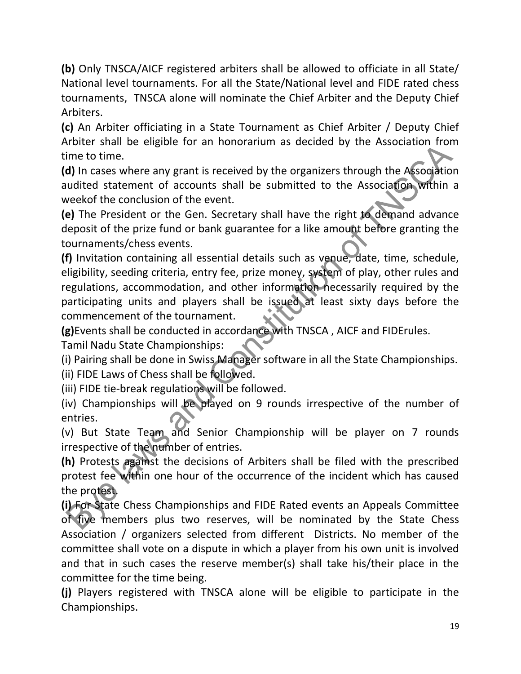(b) Only TNSCA/AICF registered arbiters shall be allowed to officiate in all State/ National level tournaments. For all the State/National level and FIDE rated chess tournaments, TNSCA alone will nominate the Chief Arbiter and the Deputy Chief Arbiters.

(c) An Arbiter officiating in a State Tournament as Chief Arbiter / Deputy Chief Arbiter shall be eligible for an honorarium as decided by the Association from time to time.

(d) In cases where any grant is received by the organizers through the Association audited statement of accounts shall be submitted to the Association within a weekof the conclusion of the event.

(e) The President or the Gen. Secretary shall have the right to demand advance deposit of the prize fund or bank guarantee for a like amount before granting the tournaments/chess events.

(f) Invitation containing all essential details such as venue, date, time, schedule, eligibility, seeding criteria, entry fee, prize money, system of play, other rules and regulations, accommodation, and other information necessarily required by the participating units and players shall be issued at least sixty days before the commencement of the tournament.

(g)Events shall be conducted in accordance with TNSCA , AICF and FIDErules.

Tamil Nadu State Championships:

(i) Pairing shall be done in Swiss Manager software in all the State Championships. (ii) FIDE Laws of Chess shall be followed.

(iii) FIDE tie-break regulations will be followed.

(iv) Championships will be played on 9 rounds irrespective of the number of entries.

(v) But State Team and Senior Championship will be player on 7 rounds irrespective of the number of entries.

(h) Protests against the decisions of Arbiters shall be filed with the prescribed protest fee within one hour of the occurrence of the incident which has caused the protest.

(i) For State Chess Championships and FIDE Rated events an Appeals Committee of five members plus two reserves, will be nominated by the State Chess Association / organizers selected from different Districts. No member of the committee shall vote on a dispute in which a player from his own unit is involved and that in such cases the reserve member(s) shall take his/their place in the committee for the time being.

(j) Players registered with TNSCA alone will be eligible to participate in the Championships.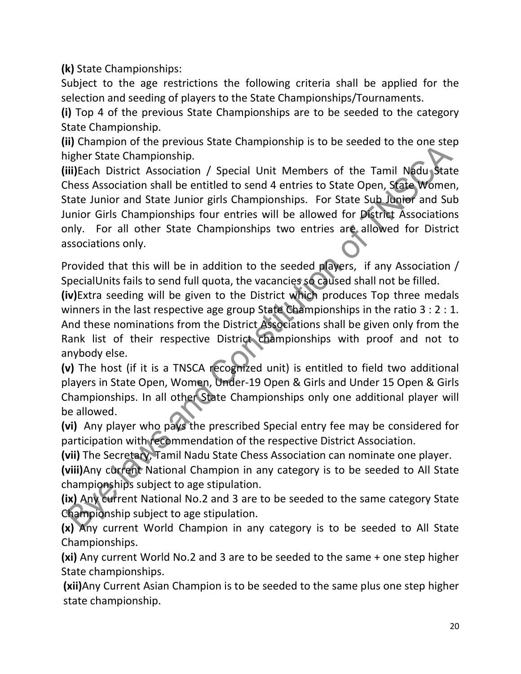(k) State Championships:

Subject to the age restrictions the following criteria shall be applied for the selection and seeding of players to the State Championships/Tournaments.

(i) Top 4 of the previous State Championships are to be seeded to the category State Championship.

(ii) Champion of the previous State Championship is to be seeded to the one step higher State Championship.

(iii)Each District Association / Special Unit Members of the Tamil Nadu State Chess Association shall be entitled to send 4 entries to State Open, State Women, State Junior and State Junior girls Championships. For State Sub Junior and Sub Junior Girls Championships four entries will be allowed for District Associations only. For all other State Championships two entries are allowed for District associations only.

Provided that this will be in addition to the seeded players, if any Association / SpecialUnits fails to send full quota, the vacancies so caused shall not be filled.

(iv)Extra seeding will be given to the District which produces Top three medals winners in the last respective age group State Championships in the ratio 3 : 2 : 1. And these nominations from the District Associations shall be given only from the Rank list of their respective District championships with proof and not to anybody else.

(v) The host (if it is a TNSCA recognized unit) is entitled to field two additional players in State Open, Women, Under-19 Open & Girls and Under 15 Open & Girls Championships. In all other State Championships only one additional player will be allowed.

(vi) Any player who pays the prescribed Special entry fee may be considered for participation with recommendation of the respective District Association.

(vii) The Secretary, Tamil Nadu State Chess Association can nominate one player.

(viii)Any current National Champion in any category is to be seeded to All State championships subject to age stipulation.

(ix) Any current National No.2 and 3 are to be seeded to the same category State Championship subject to age stipulation.

(x) Any current World Champion in any category is to be seeded to All State Championships.

(xi) Any current World No.2 and 3 are to be seeded to the same + one step higher State championships.

(xii)Any Current Asian Champion is to be seeded to the same plus one step higher state championship.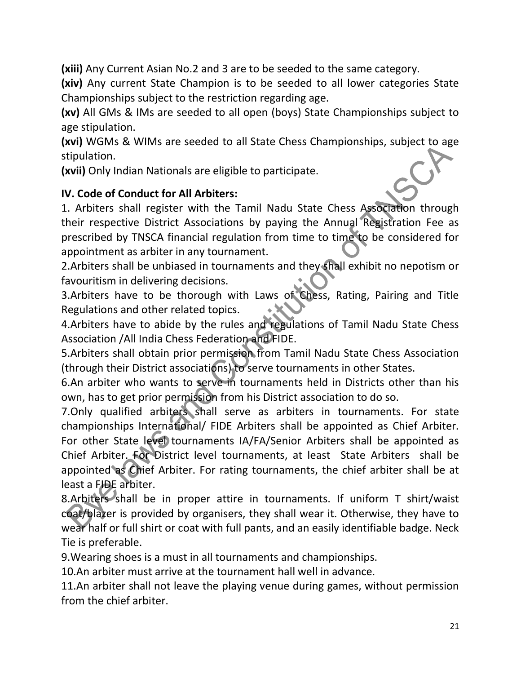(xiii) Any Current Asian No.2 and 3 are to be seeded to the same category.

(xiv) Any current State Champion is to be seeded to all lower categories State Championships subject to the restriction regarding age.

(xv) All GMs & IMs are seeded to all open (boys) State Championships subject to age stipulation.

(xvi) WGMs & WIMs are seeded to all State Chess Championships, subject to age stipulation.

(xvii) Only Indian Nationals are eligible to participate.

#### IV. Code of Conduct for All Arbiters:

1. Arbiters shall register with the Tamil Nadu State Chess Association through their respective District Associations by paying the Annual Registration Fee as prescribed by TNSCA financial regulation from time to time to be considered for appointment as arbiter in any tournament.

2.Arbiters shall be unbiased in tournaments and they shall exhibit no nepotism or favouritism in delivering decisions.

3.Arbiters have to be thorough with Laws of Chess, Rating, Pairing and Title Regulations and other related topics.

4.Arbiters have to abide by the rules and regulations of Tamil Nadu State Chess Association /All India Chess Federation and FIDE.

5.Arbiters shall obtain prior permission from Tamil Nadu State Chess Association (through their District associations) to serve tournaments in other States.

6.An arbiter who wants to serve in tournaments held in Districts other than his own, has to get prior permission from his District association to do so.

7.Only qualified arbiters shall serve as arbiters in tournaments. For state championships International/ FIDE Arbiters shall be appointed as Chief Arbiter. For other State level tournaments IA/FA/Senior Arbiters shall be appointed as Chief Arbiter. For District level tournaments, at least State Arbiters shall be appointed as Chief Arbiter. For rating tournaments, the chief arbiter shall be at least a FIDE arbiter.

8.Arbiters shall be in proper attire in tournaments. If uniform T shirt/waist coat/blazer is provided by organisers, they shall wear it. Otherwise, they have to wear half or full shirt or coat with full pants, and an easily identifiable badge. Neck Tie is preferable.

9.Wearing shoes is a must in all tournaments and championships.

10.An arbiter must arrive at the tournament hall well in advance.

11.An arbiter shall not leave the playing venue during games, without permission from the chief arbiter.